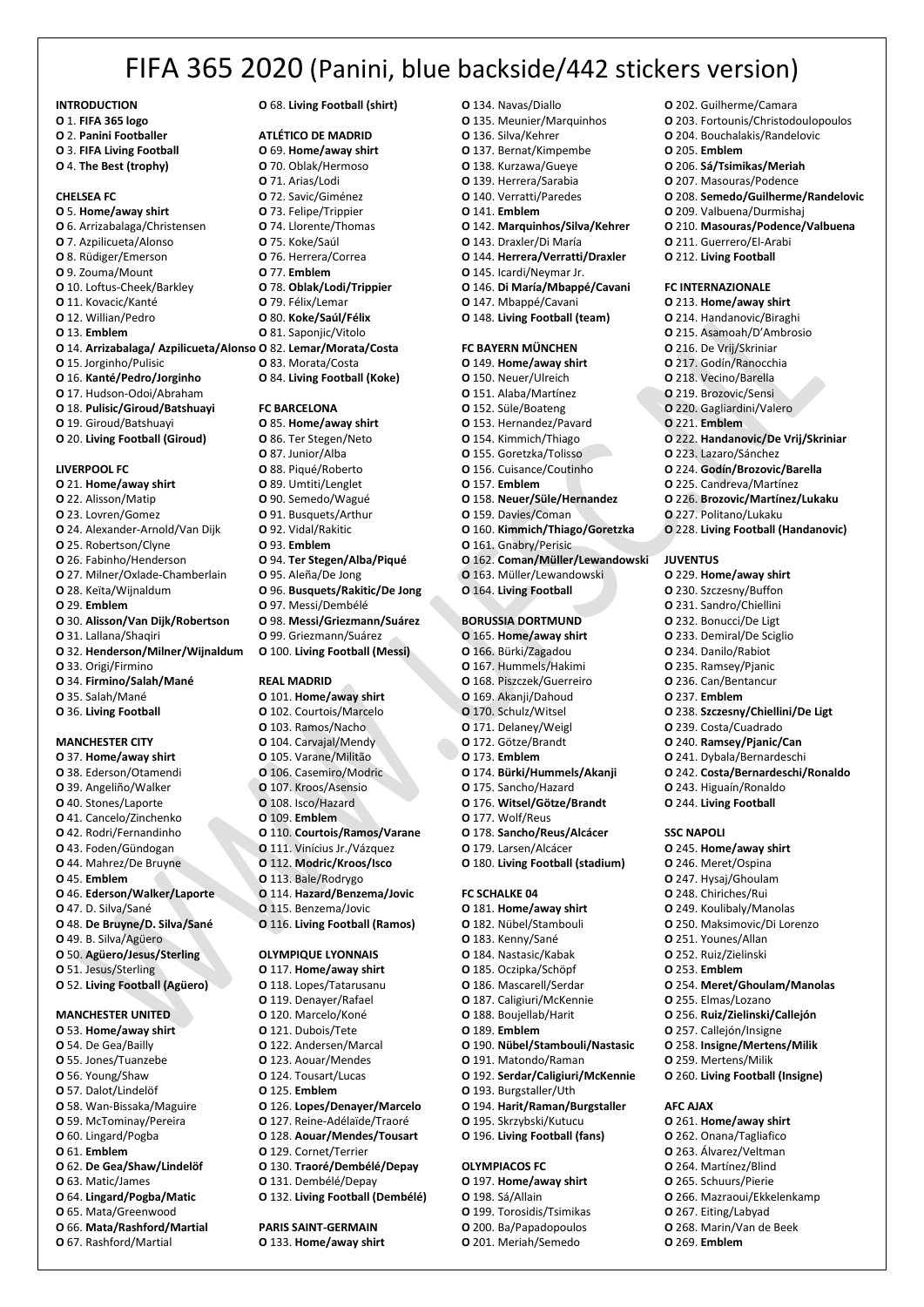# FIFA 365 2020 (Panini, blue backside/442 stickers version)

**INTRODUCTION**

- **O** 1. **FIFA 365 logo**
- **O** 2. **Panini Footballer**
- **O** 3. **FIFA Living Football O** 4. **The Best (trophy)**

# **CHELSEA FC**

**O** 5. **Home/away shirt O** 6. Arrizabalaga/Christensen **O** 7. Azpilicueta/Alonso **O** 8. Rüdiger/Emerson **O** 9. Zouma/Mount **O** 10. Loftus-Cheek/Barkley **O** 11. Kovacic/Kanté **O** 12. Willian/Pedro **O** 13. **Emblem O** 14. **Arrizabalaga/ Azpilicueta/Alonso O** 82. **Lemar/Morata/Costa O** 15. Jorginho/Pulisic **O** 16. **Kanté/Pedro/Jorginho O** 17. Hudson-Odoi/Abraham **O** 18. **Pulisic/Giroud/Batshuayi O** 19. Giroud/Batshuayi **O** 20. **Living Football (Giroud)**

#### **LIVERPOOL FC**

**O** 21. **Home/away shirt O** 22. Alisson/Matip **O** 23. Lovren/Gomez **O** 24. Alexander-Arnold/Van Dijk **O** 25. Robertson/Clyne **O** 26. Fabinho/Henderson **O** 27. Milner/Oxlade-Chamberlain **O** 28. Keïta/Wijnaldum **O** 29. **Emblem O** 30. **Alisson/Van Dijk/Robertson O** 31. Lallana/Shaqiri **O** 32. **Henderson/Milner/Wijnaldum O** 33. Origi/Firmino **O** 34. **Firmino/Salah/Mané O** 35. Salah/Mané **O** 36. **Living Football**

#### **MANCHESTER CITY**

**O** 37. **Home/away shirt O** 38. Ederson/Otamendi **O** 39. Angeliño/Walker **O** 40. Stones/Laporte **O** 41. Cancelo/Zinchenko **O** 42. Rodri/Fernandinho **O** 43. Foden/Gündogan **O** 44. Mahrez/De Bruyne **O** 45. **Emblem O** 46. **Ederson/Walker/Laporte O** 47. D. Silva/Sané **O** 48. **De Bruyne/D. Silva/Sané O** 49. B. Silva/Agüero **O** 50. **Agüero/Jesus/Sterling O** 51. Jesus/Sterling **O** 52. **Living Football (Agüero)**

#### **MANCHESTER UNITED**

**O** 53. **Home/away shirt O** 54. De Gea/Bailly **O** 55. Jones/Tuanzebe **O** 56. Young/Shaw **O** 57. Dalot/Lindelöf **O** 58. Wan-Bissaka/Maguire **O** 59. McTominay/Pereira **O** 60. Lingard/Pogba **O** 61. **Emblem O** 62. **De Gea/Shaw/Lindelöf O** 63. Matic/James **O** 64. **Lingard/Pogba/Matic O** 65. Mata/Greenwood **O** 66. **Mata/Rashford/Martial O** 67. Rashford/Martial

### **O** 68. **Living Football (shirt)**

## **ATLÉTICO DE MADRID**

- **O** 69. **Home/away shirt**
- **O** 70. Oblak/Hermoso
- **O** 71. Arias/Lodi
- **O** 72. Savic/Giménez
- **O** 73. Felipe/Trippier **O** 74. Llorente/Thomas
- **O** 75. Koke/Saúl
- **O** 76. Herrera/Correa
- **O** 77. **Emblem**
- **O** 78. **Oblak/Lodi/Trippier**
- **O** 79. Félix/Lemar
- **O** 80. **Koke/Saúl/Félix**
- **O** 81. Saponjic/Vitolo
- 
- **O** 83. Morata/Costa
- **O** 84. **Living Football (Koke)**

#### **FC BARCELONA**

- **O** 85. **Home/away shirt**
- **O** 86. Ter Stegen/Neto **O** 87. Junior/Alba
- **O** 88. Piqué/Roberto
- **O** 89. Umtiti/Lenglet
- **O** 90. Semedo/Wagué
- **O** 91. Busquets/Arthur
- **O** 92. Vidal/Rakitic
- **O** 93. **Emblem**
- **O** 94. **Ter Stegen/Alba/Piqué**
- **O** 95. Aleña/De Jong
- **O** 96. **Busquets/Rakitic/De Jong**
- **O** 97. Messi/Dembélé
- **O** 98. **Messi/Griezmann/Suárez**
- **O** 99. Griezmann/Suárez
- **O** 100. **Living Football (Messi)**

#### **REAL MADRID**

- **O** 101. **Home/away shirt O** 102. Courtois/Marcelo **O** 103. Ramos/Nacho **O** 104. Carvajal/Mendy **O** 105. Varane/Militão **O** 106. Casemiro/Modric **O** 107. Kroos/Asensio **O** 108. Isco/Hazard **O** 109. **Emblem O** 110. **Courtois/Ramos/Varane O** 111. Vinícius Jr./Vázquez **O** 112. **Modric/Kroos/Isco O** 113. Bale/Rodrygo **O** 114. **Hazard/Benzema/Jovic O** 115. Benzema/Jovic **O** 116. **Living Football (Ramos) OLYMPIQUE LYONNAIS O** 117. **Home/away shirt O** 118. Lopes/Tatarusanu
- **O** 119. Denayer/Rafael **O** 120. Marcelo/Koné **O** 121. Dubois/Tete **O** 122. Andersen/Marcal **O** 123. Aouar/Mendes **O** 124. Tousart/Lucas
- **O** 125. **Emblem**
- **O** 126. **Lopes/Denayer/Marcelo**
- **O** 127. Reine-Adélaïde/Traoré
- **O** 128. **Aouar/Mendes/Tousart**
- **O** 129. Cornet/Terrier
- **O** 130. **Traoré/Dembélé/Depay**
- **O** 131. Dembélé/Depay
- **O** 132. **Living Football (Dembélé)**

# **PARIS SAINT-GERMAIN**

**O** 133. **Home/away shirt**

- **O** 134. Navas/Diallo
- **O** 135. Meunier/Marquinhos **O** 136. Silva/Kehrer
- **O** 137. Bernat/Kimpembe

**O** 202. Guilherme/Camara **O** 203. Fortounis/Christodoulopoulos **O** 204. Bouchalakis/Randelovic

**O** 206. **Sá/Tsimikas/Meriah O** 207. Masouras/Podence

**O** 209. Valbuena/Durmishaj **O** 210. **Masouras/Podence/Valbuena**

**O** 211. Guerrero/El-Arabi **O** 212. **Living Football FC INTERNAZIONALE O** 213. **Home/away shirt O** 214. Handanovic/Biraghi **O** 215. Asamoah/D'Ambrosio **O** 216. De Vrij/Skriniar **O** 217. Godín/Ranocchia **O** 218. Vecino/Barella **O** 219. Brozovic/Sensi **O** 220. Gagliardini/Valero **O** 221. **Emblem**

**O** 208. **Semedo/Guilherme/Randelovic**

**O** 222. **Handanovic/De Vrij/Skriniar**

**O** 228. **Living Football (Handanovic)**

**O** 238. **Szczesny/Chiellini/De Ligt O** 239. Costa/Cuadrado **O** 240. **Ramsey/Pjanic/Can O** 241. Dybala/Bernardeschi **O** 242. **Costa/Bernardeschi/Ronaldo**

**O** 243. Higuaín/Ronaldo **O** 244. **Living Football**

**O** 245. **Home/away shirt O** 246. Meret/Ospina **O** 247. Hysaj/Ghoulam **O** 248. Chiriches/Rui **O** 249. Koulibaly/Manolas **O** 250. Maksimovic/Di Lorenzo **O** 251. Younes/Allan **O** 252. Ruiz/Zielinski **O** 253. **Emblem**

**O** 254. **Meret/Ghoulam/Manolas**

**O** 255. Elmas/Lozano **O** 256. **Ruiz/Zielinski/Callejón O** 257. Callejón/Insigne **O** 258. **Insigne/Mertens/Milik O** 259. Mertens/Milik **O** 260. **Living Football (Insigne)**

**O** 261. **Home/away shirt O** 262. Onana/Tagliafico **O** 263. Álvarez/Veltman **O** 264. Martínez/Blind **O** 265. Schuurs/Pierie **O** 266. Mazraoui/Ekkelenkamp **O** 267. Eiting/Labyad **O** 268. Marin/Van de Beek **O** 269. **Emblem**

**AFC AJAX**

**SSC NAPOLI**

**O** 223. Lazaro/Sánchez **O** 224. **Godín/Brozovic/Barella O** 225. Candreva/Martínez **O** 226. **Brozovic/Martínez/Lukaku**

**O** 227. Politano/Lukaku

**O** 229. **Home/away shirt O** 230. Szczesny/Buffon **O** 231. Sandro/Chiellini **O** 232. Bonucci/De Ligt **O** 233. Demiral/De Sciglio **O** 234. Danilo/Rabiot **O** 235. Ramsey/Pjanic **O** 236. Can/Bentancur **O** 237. **Emblem**

**JUVENTUS**

**O** 205. **Emblem**

- **O** 138. Kurzawa/Gueye
- **O** 139. Herrera/Sarabia
- **O** 140. Verratti/Paredes
- **O** 141. **Emblem**
- **O** 142. **Marquinhos/Silva/Kehrer**
- **O** 143. Draxler/Di María
- **O** 144. **Herrera/Verratti/Draxler**
- **O** 145. Icardi/Neymar Jr.
- **O** 146. **Di María/Mbappé/Cavani**
- **O** 147. Mbappé/Cavani
- **O** 148. **Living Football (team)**

### **FC BAYERN MÜNCHEN**

- **O** 149. **Home/away shirt O** 150. Neuer/Ulreich
- **O** 151. Alaba/Martínez
- **O** 152. Süle/Boateng
- **O** 153. Hernandez/Pavard
- **O** 154. Kimmich/Thiago
- **O** 155. Goretzka/Tolisso
- **O** 156. Cuisance/Coutinho
- **O** 157. **Emblem**
- **O** 158. **Neuer/Süle/Hernandez**
- **O** 159. Davies/Coman
- **O** 160. **Kimmich/Thiago/Goretzka**
- **O** 161. Gnabry/Perisic
- **O** 162. **Coman/Müller/Lewandowski**
- **O** 163. Müller/Lewandowski
- **O** 164. **Living Football**

# **BORUSSIA DORTMUND**

**O** 165. **Home/away shirt O** 166. Bürki/Zagadou **O** 167. Hummels/Hakimi **O** 168. Piszczek/Guerreiro **O** 169. Akanji/Dahoud **O** 170. Schulz/Witsel **O** 171. Delaney/Weigl **O** 172. Götze/Brandt **O** 173. **Emblem O** 174. **Bürki/Hummels/Akanji O** 175. Sancho/Hazard **O** 176. **Witsel/Götze/Brandt O** 177. Wolf/Reus **O** 178. **Sancho/Reus/Alcácer O** 179. Larsen/Alcácer **O** 180. **Living Football (stadium)**

# **FC SCHALKE 04**

- **O** 181. **Home/away shirt O** 182. Nübel/Stambouli **O** 183. Kenny/Sané **O** 184. Nastasic/Kabak **O** 185. Oczipka/Schöpf **O** 186. Mascarell/Serdar **O** 187. Caligiuri/McKennie **O** 188. Boujellab/Harit **O** 189. **Emblem O** 190. **Nübel/Stambouli/Nastasic O** 191. Matondo/Raman
- **O** 192. **Serdar/Caligiuri/McKennie**
- **O** 193. Burgstaller/Uth
- **O** 194. **Harit/Raman/Burgstaller**
- 
- **O** 195. Skrzybski/Kutucu
- **O** 196. **Living Football (fans)**

**OLYMPIACOS FC O** 197. **Home/away shirt O** 198. Sá/Allain **O** 199. Torosidis/Tsimikas **O** 200. Ba/Papadopoulos **O** 201. Meriah/Semedo